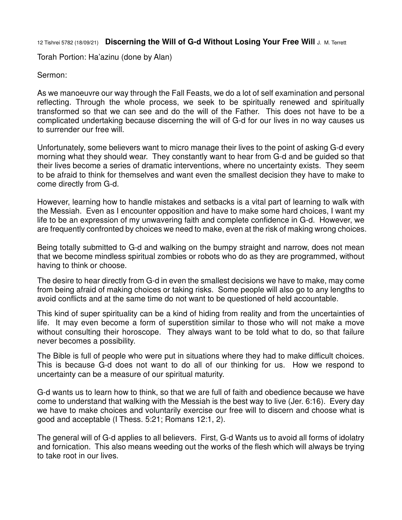12 Tishrei 5782 (18/09/21) **Discerning the Will of G-d Without Losing Your Free Will** J. M. Terrett

Torah Portion: Ha'azinu (done by Alan)

## Sermon:

As we manoeuvre our way through the Fall Feasts, we do a lot of self examination and personal reflecting. Through the whole process, we seek to be spiritually renewed and spiritually transformed so that we can see and do the will of the Father. This does not have to be a complicated undertaking because discerning the will of G-d for our lives in no way causes us to surrender our free will.

Unfortunately, some believers want to micro manage their lives to the point of asking G-d every morning what they should wear. They constantly want to hear from G-d and be guided so that their lives become a series of dramatic interventions, where no uncertainty exists. They seem to be afraid to think for themselves and want even the smallest decision they have to make to come directly from G-d.

However, learning how to handle mistakes and setbacks is a vital part of learning to walk with the Messiah. Even as I encounter opposition and have to make some hard choices, I want my life to be an expression of my unwavering faith and complete confidence in G-d. However, we are frequently confronted by choices we need to make, even at the risk of making wrong choices.

Being totally submitted to G-d and walking on the bumpy straight and narrow, does not mean that we become mindless spiritual zombies or robots who do as they are programmed, without having to think or choose.

The desire to hear directly from G-d in even the smallest decisions we have to make, may come from being afraid of making choices or taking risks. Some people will also go to any lengths to avoid conflicts and at the same time do not want to be questioned of held accountable.

This kind of super spirituality can be a kind of hiding from reality and from the uncertainties of life. It may even become a form of superstition similar to those who will not make a move without consulting their horoscope. They always want to be told what to do, so that failure never becomes a possibility.

The Bible is full of people who were put in situations where they had to make difficult choices. This is because G-d does not want to do all of our thinking for us. How we respond to uncertainty can be a measure of our spiritual maturity.

G-d wants us to learn how to think, so that we are full of faith and obedience because we have come to understand that walking with the Messiah is the best way to live (Jer. 6:16). Every day we have to make choices and voluntarily exercise our free will to discern and choose what is good and acceptable (I Thess. 5:21; Romans 12:1, 2).

The general will of G-d applies to all believers. First, G-d Wants us to avoid all forms of idolatry and fornication. This also means weeding out the works of the flesh which will always be trying to take root in our lives.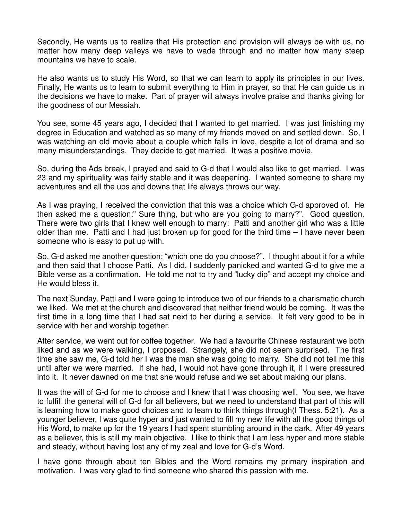Secondly, He wants us to realize that His protection and provision will always be with us, no matter how many deep valleys we have to wade through and no matter how many steep mountains we have to scale.

He also wants us to study His Word, so that we can learn to apply its principles in our lives. Finally, He wants us to learn to submit everything to Him in prayer, so that He can guide us in the decisions we have to make. Part of prayer will always involve praise and thanks giving for the goodness of our Messiah.

You see, some 45 years ago, I decided that I wanted to get married. I was just finishing my degree in Education and watched as so many of my friends moved on and settled down. So, I was watching an old movie about a couple which falls in love, despite a lot of drama and so many misunderstandings. They decide to get married. It was a positive movie.

So, during the Ads break, I prayed and said to G-d that I would also like to get married. I was 23 and my spirituality was fairly stable and it was deepening. I wanted someone to share my adventures and all the ups and downs that life always throws our way.

As I was praying, I received the conviction that this was a choice which G-d approved of. He then asked me a question:" Sure thing, but who are you going to marry?". Good question. There were two girls that I knew well enough to marry: Patti and another girl who was a little older than me. Patti and I had just broken up for good for the third time – I have never been someone who is easy to put up with.

So, G-d asked me another question: "which one do you choose?". I thought about it for a while and then said that I choose Patti. As I did, I suddenly panicked and wanted G-d to give me a Bible verse as a confirmation. He told me not to try and "lucky dip" and accept my choice and He would bless it.

The next Sunday, Patti and I were going to introduce two of our friends to a charismatic church we liked. We met at the church and discovered that neither friend would be coming. It was the first time in a long time that I had sat next to her during a service. It felt very good to be in service with her and worship together.

After service, we went out for coffee together. We had a favourite Chinese restaurant we both liked and as we were walking, I proposed. Strangely, she did not seem surprised. The first time she saw me, G-d told her I was the man she was going to marry. She did not tell me this until after we were married. If she had, I would not have gone through it, if I were pressured into it. It never dawned on me that she would refuse and we set about making our plans.

It was the will of G-d for me to choose and I knew that I was choosing well. You see, we have to fulfill the general will of G-d for all believers, but we need to understand that part of this will is learning how to make good choices and to learn to think things through(I Thess. 5:21). As a younger believer, I was quite hyper and just wanted to fill my new life with all the good things of His Word, to make up for the 19 years I had spent stumbling around in the dark. After 49 years as a believer, this is still my main objective. I like to think that I am less hyper and more stable and steady, without having lost any of my zeal and love for G-d's Word.

I have gone through about ten Bibles and the Word remains my primary inspiration and motivation. I was very glad to find someone who shared this passion with me.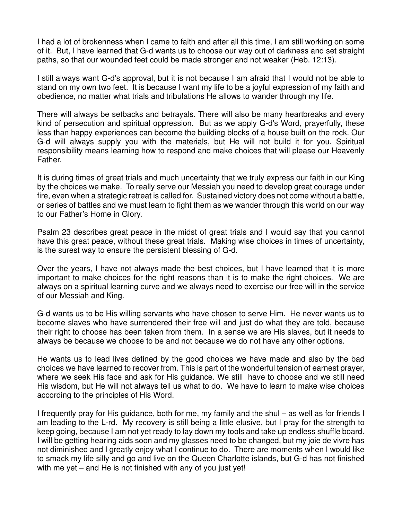I had a lot of brokenness when I came to faith and after all this time, I am still working on some of it. But, I have learned that G-d wants us to choose our way out of darkness and set straight paths, so that our wounded feet could be made stronger and not weaker (Heb. 12:13).

I still always want G-d's approval, but it is not because I am afraid that I would not be able to stand on my own two feet. It is because I want my life to be a joyful expression of my faith and obedience, no matter what trials and tribulations He allows to wander through my life.

There will always be setbacks and betrayals. There will also be many heartbreaks and every kind of persecution and spiritual oppression. But as we apply G-d's Word, prayerfully, these less than happy experiences can become the building blocks of a house built on the rock. Our G-d will always supply you with the materials, but He will not build it for you. Spiritual responsibility means learning how to respond and make choices that will please our Heavenly Father.

It is during times of great trials and much uncertainty that we truly express our faith in our King by the choices we make. To really serve our Messiah you need to develop great courage under fire, even when a strategic retreat is called for. Sustained victory does not come without a battle, or series of battles and we must learn to fight them as we wander through this world on our way to our Father's Home in Glory.

Psalm 23 describes great peace in the midst of great trials and I would say that you cannot have this great peace, without these great trials. Making wise choices in times of uncertainty, is the surest way to ensure the persistent blessing of G-d.

Over the years, I have not always made the best choices, but I have learned that it is more important to make choices for the right reasons than it is to make the right choices. We are always on a spiritual learning curve and we always need to exercise our free will in the service of our Messiah and King.

G-d wants us to be His willing servants who have chosen to serve Him. He never wants us to become slaves who have surrendered their free will and just do what they are told, because their right to choose has been taken from them. In a sense we are His slaves, but it needs to always be because we choose to be and not because we do not have any other options.

He wants us to lead lives defined by the good choices we have made and also by the bad choices we have learned to recover from. This is part of the wonderful tension of earnest prayer, where we seek His face and ask for His guidance. We still have to choose and we still need His wisdom, but He will not always tell us what to do. We have to learn to make wise choices according to the principles of His Word.

I frequently pray for His guidance, both for me, my family and the shul – as well as for friends I am leading to the L-rd. My recovery is still being a little elusive, but I pray for the strength to keep going, because I am not yet ready to lay down my tools and take up endless shuffle board. I will be getting hearing aids soon and my glasses need to be changed, but my joie de vivre has not diminished and I greatly enjoy what I continue to do. There are moments when I would like to smack my life silly and go and live on the Queen Charlotte islands, but G-d has not finished with me yet – and He is not finished with any of you just yet!